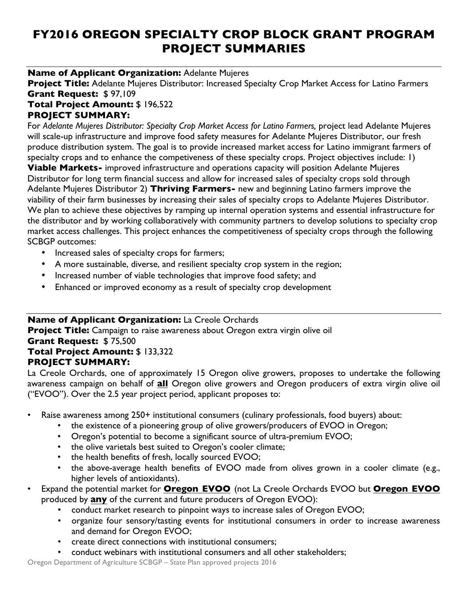# **FY2016 OREGON SPECIALTY CROP BLOCK GRANT PROGRAM PROJECT SUMMARIES**

#### **Name of Applicant Organization:** Adelante Mujeres

**Project Title:** Adelante Mujeres Distributor: Increased Specialty Crop Market Access for Latino Farmers **Grant Request:** \$ 97,109

## **Total Project Amount:** \$ 196,522 **PROJECT SUMMARY:**

For *Adelante Mujeres Distributor: Specialty Crop Market Access for Latino Farmers,* project lead Adelante Mujeres will scale-up infrastructure and improve food safety measures for Adelante Mujeres Distributor, our fresh produce distribution system. The goal is to provide increased market access for Latino immigrant farmers of specialty crops and to enhance the competiveness of these specialty crops. Project objectives include: 1) **Viable Markets-** improved infrastructure and operations capacity will position Adelante Mujeres Distributor for long term financial success and allow for increased sales of specialty crops sold through Adelante Mujeres Distributor 2) **Thriving Farmers-** new and beginning Latino farmers improve the viability of their farm businesses by increasing their sales of specialty crops to Adelante Mujeres Distributor. We plan to achieve these objectives by ramping up internal operation systems and essential infrastructure for the distributor and by working collaboratively with community partners to develop solutions to specialty crop market access challenges. This project enhances the competitiveness of specialty crops through the following SCBGP outcomes:

- Increased sales of specialty crops for farmers;
- A more sustainable, diverse, and resilient specialty crop system in the region;
- Increased number of viable technologies that improve food safety; and
- Enhanced or improved economy as a result of specialty crop development

# **Name of Applicant Organization:** La Creole Orchards

**Project Title:** Campaign to raise awareness about Oregon extra virgin olive oil **Grant Request:** \$ 75,500 **Total Project Amount:** \$ 133,322 **PROJECT SUMMARY:** 

La Creole Orchards, one of approximately 15 Oregon olive growers, proposes to undertake the following awareness campaign on behalf of **all** Oregon olive growers and Oregon producers of extra virgin olive oil ("EVOO"). Over the 2.5 year project period, applicant proposes to:

- Raise awareness among 250+ institutional consumers (culinary professionals, food buyers) about:
	- the existence of a pioneering group of olive growers/producers of EVOO in Oregon;
	- Oregon's potential to become a significant source of ultra-premium EVOO;
	- the olive varietals best suited to Oregon's cooler climate;
	- the health benefits of fresh, locally sourced EVOO;
	- the above-average health benefits of EVOO made from olives grown in a cooler climate (e.g., higher levels of antioxidants).
- Expand the potential market for **Oregon EVOO** (not La Creole Orchards EVOO but **Oregon EVOO** produced by **any** of the current and future producers of Oregon EVOO):
	- conduct market research to pinpoint ways to increase sales of Oregon EVOO;
	- organize four sensory/tasting events for institutional consumers in order to increase awareness and demand for Oregon EVOO;
	- create direct connections with institutional consumers;
	- conduct webinars with institutional consumers and all other stakeholders;

Oregon Department of Agriculture SCBGP – State Plan approved projects 2016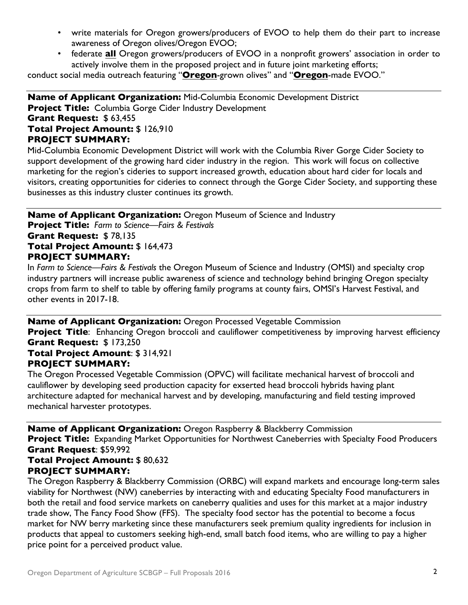- write materials for Oregon growers/producers of EVOO to help them do their part to increase awareness of Oregon olives/Oregon EVOO;
- federate **all** Oregon growers/producers of EVOO in a nonprofit growers' association in order to actively involve them in the proposed project and in future joint marketing efforts;

conduct social media outreach featuring "**Oregon**-grown olives" and "**Oregon**-made EVOO."

**Name of Applicant Organization:** Mid-Columbia Economic Development District **Project Title:** Columbia Gorge Cider Industry Development **Grant Request:** \$ 63,455 **Total Project Amount:** \$ 126,910 **PROJECT SUMMARY:** 

Mid-Columbia Economic Development District will work with the Columbia River Gorge Cider Society to support development of the growing hard cider industry in the region. This work will focus on collective marketing for the region's cideries to support increased growth, education about hard cider for locals and visitors, creating opportunities for cideries to connect through the Gorge Cider Society, and supporting these businesses as this industry cluster continues its growth.

**Name of Applicant Organization:** Oregon Museum of Science and Industry **Project Title:** *Farm to Science—Fairs & Festivals* **Grant Request:** \$ 78,135 **Total Project Amount:** \$ 164,473 **PROJECT SUMMARY:**  In *Farm to Science—Fairs & Festivals* the Oregon Museum of Science and Industry (OMSI) and specialty crop

industry partners will increase public awareness of science and technology behind bringing Oregon specialty crops from farm to shelf to table by offering family programs at county fairs, OMSI's Harvest Festival, and other events in 2017-18.

#### **Name of Applicant Organization:** Oregon Processed Vegetable Commission

**Project Title**: Enhancing Oregon broccoli and cauliflower competitiveness by improving harvest efficiency **Grant Request:** \$ 173,250

#### **Total Project Amount**: \$ 314,921 **PROJECT SUMMARY:**

The Oregon Processed Vegetable Commission (OPVC) will facilitate mechanical harvest of broccoli and cauliflower by developing seed production capacity for exserted head broccoli hybrids having plant architecture adapted for mechanical harvest and by developing, manufacturing and field testing improved mechanical harvester prototypes.

**Name of Applicant Organization:** Oregon Raspberry & Blackberry Commission **Project Title:** Expanding Market Opportunities for Northwest Caneberries with Specialty Food Producers **Grant Request**: \$59,992

#### **Total Project Amount:** \$ 80,632 **PROJECT SUMMARY:**

The Oregon Raspberry & Blackberry Commission (ORBC) will expand markets and encourage long-term sales viability for Northwest (NW) caneberries by interacting with and educating Specialty Food manufacturers in both the retail and food service markets on caneberry qualities and uses for this market at a major industry trade show, The Fancy Food Show (FFS). The specialty food sector has the potential to become a focus market for NW berry marketing since these manufacturers seek premium quality ingredients for inclusion in products that appeal to customers seeking high-end, small batch food items, who are willing to pay a higher price point for a perceived product value.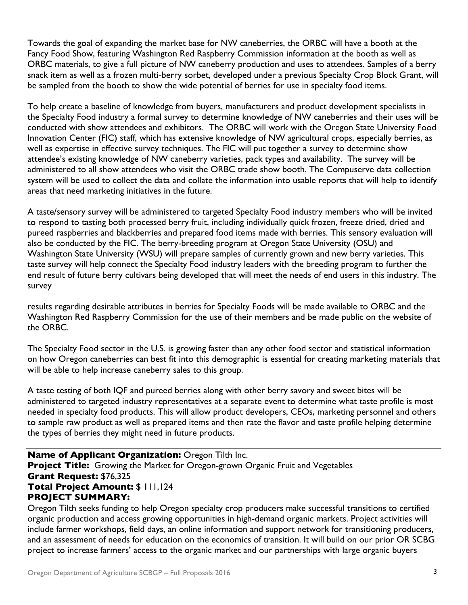Towards the goal of expanding the market base for NW caneberries, the ORBC will have a booth at the Fancy Food Show, featuring Washington Red Raspberry Commission information at the booth as well as ORBC materials, to give a full picture of NW caneberry production and uses to attendees. Samples of a berry snack item as well as a frozen multi-berry sorbet, developed under a previous Specialty Crop Block Grant, will be sampled from the booth to show the wide potential of berries for use in specialty food items.

To help create a baseline of knowledge from buyers, manufacturers and product development specialists in the Specialty Food industry a formal survey to determine knowledge of NW caneberries and their uses will be conducted with show attendees and exhibitors. The ORBC will work with the Oregon State University Food Innovation Center (FIC) staff, which has extensive knowledge of NW agricultural crops, especially berries, as well as expertise in effective survey techniques. The FIC will put together a survey to determine show attendee's existing knowledge of NW caneberry varieties, pack types and availability. The survey will be administered to all show attendees who visit the ORBC trade show booth. The Compuserve data collection system will be used to collect the data and collate the information into usable reports that will help to identify areas that need marketing initiatives in the future.

A taste/sensory survey will be administered to targeted Specialty Food industry members who will be invited to respond to tasting both processed berry fruit, including individually quick frozen, freeze dried, dried and pureed raspberries and blackberries and prepared food items made with berries. This sensory evaluation will also be conducted by the FIC. The berry-breeding program at Oregon State University (OSU) and Washington State University (WSU) will prepare samples of currently grown and new berry varieties. This taste survey will help connect the Specialty Food industry leaders with the breeding program to further the end result of future berry cultivars being developed that will meet the needs of end users in this industry. The survey

results regarding desirable attributes in berries for Specialty Foods will be made available to ORBC and the Washington Red Raspberry Commission for the use of their members and be made public on the website of the ORBC.

The Specialty Food sector in the U.S. is growing faster than any other food sector and statistical information on how Oregon caneberries can best fit into this demographic is essential for creating marketing materials that will be able to help increase caneberry sales to this group.

A taste testing of both IQF and pureed berries along with other berry savory and sweet bites will be administered to targeted industry representatives at a separate event to determine what taste profile is most needed in specialty food products. This will allow product developers, CEOs, marketing personnel and others to sample raw product as well as prepared items and then rate the flavor and taste profile helping determine the types of berries they might need in future products.

**Name of Applicant Organization:** Oregon Tilth Inc. **Project Title:** Growing the Market for Oregon-grown Organic Fruit and Vegetables **Grant Request:** \$76,325 **Total Project Amount:** \$ 111,124 **PROJECT SUMMARY:** 

Oregon Tilth seeks funding to help Oregon specialty crop producers make successful transitions to certified organic production and access growing opportunities in high-demand organic markets. Project activities will include farmer workshops, field days, an online information and support network for transitioning producers, and an assessment of needs for education on the economics of transition. It will build on our prior OR SCBG project to increase farmers' access to the organic market and our partnerships with large organic buyers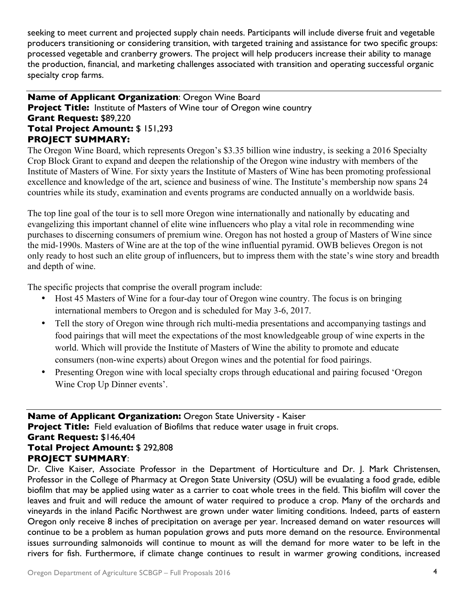seeking to meet current and projected supply chain needs. Participants will include diverse fruit and vegetable producers transitioning or considering transition, with targeted training and assistance for two specific groups: processed vegetable and cranberry growers. The project will help producers increase their ability to manage the production, financial, and marketing challenges associated with transition and operating successful organic specialty crop farms.

## **Name of Applicant Organization**: Oregon Wine Board **Project Title:** Institute of Masters of Wine tour of Oregon wine country **Grant Request:** \$89,220 **Total Project Amount:** \$ 151,293 **PROJECT SUMMARY:**

The Oregon Wine Board, which represents Oregon's \$3.35 billion wine industry, is seeking a 2016 Specialty Crop Block Grant to expand and deepen the relationship of the Oregon wine industry with members of the Institute of Masters of Wine. For sixty years the Institute of Masters of Wine has been promoting professional excellence and knowledge of the art, science and business of wine. The Institute's membership now spans 24 countries while its study, examination and events programs are conducted annually on a worldwide basis.

The top line goal of the tour is to sell more Oregon wine internationally and nationally by educating and evangelizing this important channel of elite wine influencers who play a vital role in recommending wine purchases to discerning consumers of premium wine. Oregon has not hosted a group of Masters of Wine since the mid-1990s. Masters of Wine are at the top of the wine influential pyramid. OWB believes Oregon is not only ready to host such an elite group of influencers, but to impress them with the state's wine story and breadth and depth of wine.

The specific projects that comprise the overall program include:

- Host 45 Masters of Wine for a four-day tour of Oregon wine country. The focus is on bringing international members to Oregon and is scheduled for May 3-6, 2017.
- Tell the story of Oregon wine through rich multi-media presentations and accompanying tastings and food pairings that will meet the expectations of the most knowledgeable group of wine experts in the world. Which will provide the Institute of Masters of Wine the ability to promote and educate consumers (non-wine experts) about Oregon wines and the potential for food pairings.
- Presenting Oregon wine with local specialty crops through educational and pairing focused 'Oregon Wine Crop Up Dinner events'.

**Name of Applicant Organization:** Oregon State University - Kaiser **Project Title:** Field evaluation of Biofilms that reduce water usage in fruit crops. **Grant Request:** \$146,404 **Total Project Amount:** \$ 292,808 **PROJECT SUMMARY**:

Dr. Clive Kaiser, Associate Professor in the Department of Horticulture and Dr. J. Mark Christensen, Professor in the College of Pharmacy at Oregon State University (OSU) will be evualating a food grade, edible biofilm that may be applied using water as a carrier to coat whole trees in the field. This biofilm will cover the leaves and fruit and will reduce the amount of water required to produce a crop. Many of the orchards and vineyards in the inland Pacific Northwest are grown under water limiting conditions. Indeed, parts of eastern Oregon only receive 8 inches of precipitation on average per year. Increased demand on water resources will continue to be a problem as human population grows and puts more demand on the resource. Environmental issues surrounding salmonoids will continue to mount as will the demand for more water to be left in the rivers for fish. Furthermore, if climate change continues to result in warmer growing conditions, increased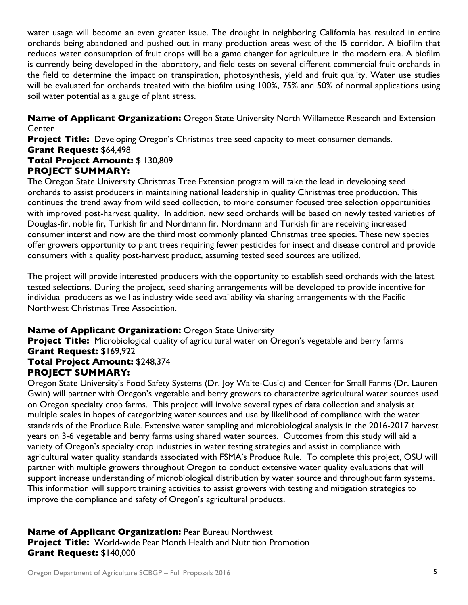water usage will become an even greater issue. The drought in neighboring California has resulted in entire orchards being abandoned and pushed out in many production areas west of the I5 corridor. A biofilm that reduces water consumption of fruit crops will be a game changer for agriculture in the modern era. A biofilm is currently being developed in the laboratory, and field tests on several different commercial fruit orchards in the field to determine the impact on transpiration, photosynthesis, yield and fruit quality. Water use studies will be evaluated for orchards treated with the biofilm using 100%, 75% and 50% of normal applications using soil water potential as a gauge of plant stress.

**Name of Applicant Organization:** Oregon State University North Willamette Research and Extension Center

**Project Title:** Developing Oregon's Christmas tree seed capacity to meet consumer demands. **Grant Request:** \$64,498

# **Total Project Amount:** \$ 130,809 **PROJECT SUMMARY:**

The Oregon State University Christmas Tree Extension program will take the lead in developing seed orchards to assist producers in maintaining national leadership in quality Christmas tree production. This continues the trend away from wild seed collection, to more consumer focused tree selection opportunities with improved post-harvest quality. In addition, new seed orchards will be based on newly tested varieties of Douglas-fir, noble fir, Turkish fir and Nordmann fir. Nordmann and Turkish fir are receiving increased consumer interst and now are the third most commonly planted Christmas tree species. These new species offer growers opportunity to plant trees requiring fewer pesticides for insect and disease control and provide consumers with a quality post-harvest product, assuming tested seed sources are utilized.

The project will provide interested producers with the opportunity to establish seed orchards with the latest tested selections. During the project, seed sharing arrangements will be developed to provide incentive for individual producers as well as industry wide seed availability via sharing arrangements with the Pacific Northwest Christmas Tree Association.

# **Name of Applicant Organization:** Oregon State University

**Project Title:** Microbiological quality of agricultural water on Oregon's vegetable and berry farms **Grant Request:** \$169,922

#### **Total Project Amount:** \$248,374 **PROJECT SUMMARY:**

Oregon State University's Food Safety Systems (Dr. Joy Waite-Cusic) and Center for Small Farms (Dr. Lauren Gwin) will partner with Oregon's vegetable and berry growers to characterize agricultural water sources used on Oregon specialty crop farms. This project will involve several types of data collection and analysis at multiple scales in hopes of categorizing water sources and use by likelihood of compliance with the water standards of the Produce Rule. Extensive water sampling and microbiological analysis in the 2016-2017 harvest years on 3-6 vegetable and berry farms using shared water sources. Outcomes from this study will aid a variety of Oregon's specialty crop industries in water testing strategies and assist in compliance with agricultural water quality standards associated with FSMA's Produce Rule. To complete this project, OSU will partner with multiple growers throughout Oregon to conduct extensive water quality evaluations that will support increase understanding of microbiological distribution by water source and throughout farm systems. This information will support training activities to assist growers with testing and mitigation strategies to improve the compliance and safety of Oregon's agricultural products.

**Name of Applicant Organization:** Pear Bureau Northwest **Project Title:** World-wide Pear Month Health and Nutrition Promotion **Grant Request:** \$140,000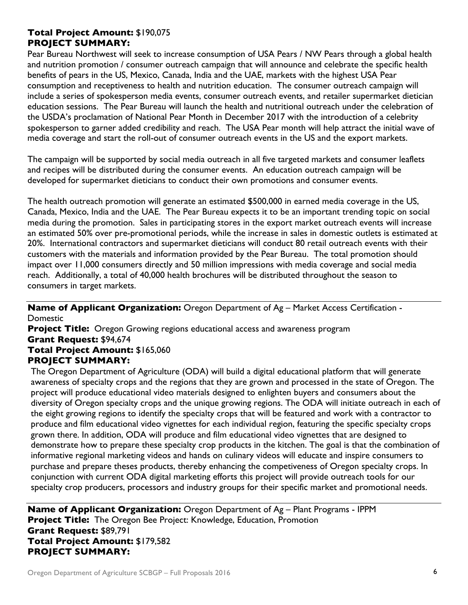## **Total Project Amount:** \$190,075 **PROJECT SUMMARY:**

Pear Bureau Northwest will seek to increase consumption of USA Pears / NW Pears through a global health and nutrition promotion / consumer outreach campaign that will announce and celebrate the specific health benefits of pears in the US, Mexico, Canada, India and the UAE, markets with the highest USA Pear consumption and receptiveness to health and nutrition education. The consumer outreach campaign will include a series of spokesperson media events, consumer outreach events, and retailer supermarket dietician education sessions. The Pear Bureau will launch the health and nutritional outreach under the celebration of the USDA's proclamation of National Pear Month in December 2017 with the introduction of a celebrity spokesperson to garner added credibility and reach. The USA Pear month will help attract the initial wave of media coverage and start the roll-out of consumer outreach events in the US and the export markets.

The campaign will be supported by social media outreach in all five targeted markets and consumer leaflets and recipes will be distributed during the consumer events. An education outreach campaign will be developed for supermarket dieticians to conduct their own promotions and consumer events.

The health outreach promotion will generate an estimated \$500,000 in earned media coverage in the US, Canada, Mexico, India and the UAE. The Pear Bureau expects it to be an important trending topic on social media during the promotion. Sales in participating stores in the export market outreach events will increase an estimated 50% over pre-promotional periods, while the increase in sales in domestic outlets is estimated at 20%. International contractors and supermarket dieticians will conduct 80 retail outreach events with their customers with the materials and information provided by the Pear Bureau. The total promotion should impact over 11,000 consumers directly and 50 million impressions with media coverage and social media reach. Additionally, a total of 40,000 health brochures will be distributed throughout the season to consumers in target markets.

**Name of Applicant Organization:** Oregon Department of Ag – Market Access Certification - Domestic

**Project Title:** Oregon Growing regions educational access and awareness program **Grant Request:** \$94,674 **Total Project Amount:** \$165,060

# **PROJECT SUMMARY:**

The Oregon Department of Agriculture (ODA) will build a digital educational platform that will generate awareness of specialty crops and the regions that they are grown and processed in the state of Oregon. The project will produce educational video materials designed to enlighten buyers and consumers about the diversity of Oregon specialty crops and the unique growing regions. The ODA will initiate outreach in each of the eight growing regions to identify the specialty crops that will be featured and work with a contractor to produce and film educational video vignettes for each individual region, featuring the specific specialty crops grown there. In addition, ODA will produce and film educational video vignettes that are designed to demonstrate how to prepare these specialty crop products in the kitchen. The goal is that the combination of informative regional marketing videos and hands on culinary videos will educate and inspire consumers to purchase and prepare theses products, thereby enhancing the competiveness of Oregon specialty crops. In conjunction with current ODA digital marketing efforts this project will provide outreach tools for our specialty crop producers, processors and industry groups for their specific market and promotional needs.

**Name of Applicant Organization:** Oregon Department of Ag – Plant Programs - IPPM **Project Title:** The Oregon Bee Project: Knowledge, Education, Promotion **Grant Request:** \$89,791 **Total Project Amount:** \$179,582 **PROJECT SUMMARY:**